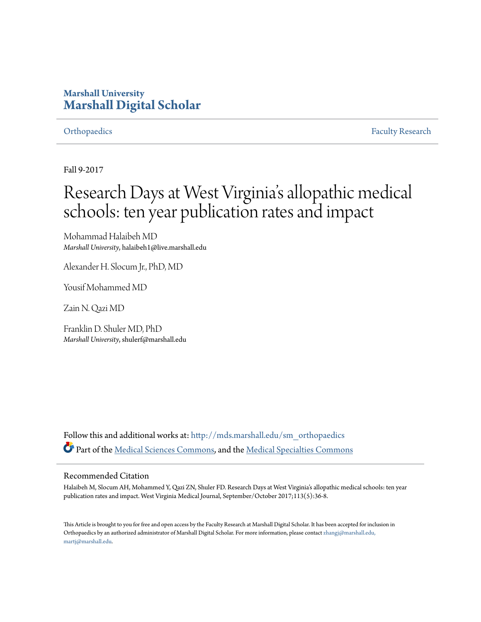### **Marshall University [Marshall Digital Scholar](http://mds.marshall.edu?utm_source=mds.marshall.edu%2Fsm_orthopaedics%2F28&utm_medium=PDF&utm_campaign=PDFCoverPages)**

[Orthopaedics](http://mds.marshall.edu/sm_orthopaedics?utm_source=mds.marshall.edu%2Fsm_orthopaedics%2F28&utm_medium=PDF&utm_campaign=PDFCoverPages) **[Faculty Research](http://mds.marshall.edu/sm_faculty?utm_source=mds.marshall.edu%2Fsm_orthopaedics%2F28&utm_medium=PDF&utm_campaign=PDFCoverPages) Faculty Research** 

Fall 9-2017

## Research Days at West Virginia 's allopathic medical schools: ten year publication rates and impact

Mohammad Halaibeh MD *Marshall University*, halaibeh1@live.marshall.edu

Alexander H. Slocum Jr., PhD, MD

Yousif Mohammed MD

Zain N. Qazi MD

Franklin D. Shuler MD, PhD *Marshall University*, shulerf@marshall.edu

Follow this and additional works at: [http://mds.marshall.edu/sm\\_orthopaedics](http://mds.marshall.edu/sm_orthopaedics?utm_source=mds.marshall.edu%2Fsm_orthopaedics%2F28&utm_medium=PDF&utm_campaign=PDFCoverPages) Part of the [Medical Sciences Commons,](http://network.bepress.com/hgg/discipline/664?utm_source=mds.marshall.edu%2Fsm_orthopaedics%2F28&utm_medium=PDF&utm_campaign=PDFCoverPages) and the [Medical Specialties Commons](http://network.bepress.com/hgg/discipline/680?utm_source=mds.marshall.edu%2Fsm_orthopaedics%2F28&utm_medium=PDF&utm_campaign=PDFCoverPages)

#### Recommended Citation

Halaibeh M, Slocum AH, Mohammed Y, Qazi ZN, Shuler FD. Research Days at West Virginia's allopathic medical schools: ten year publication rates and impact. West Virginia Medical Journal, September/October 2017;113(5):36-8.

This Article is brought to you for free and open access by the Faculty Research at Marshall Digital Scholar. It has been accepted for inclusion in Orthopaedics by an authorized administrator of Marshall Digital Scholar. For more information, please contact [zhangj@marshall.edu,](mailto:zhangj@marshall.edu,%20martj@marshall.edu) [martj@marshall.edu](mailto:zhangj@marshall.edu,%20martj@marshall.edu).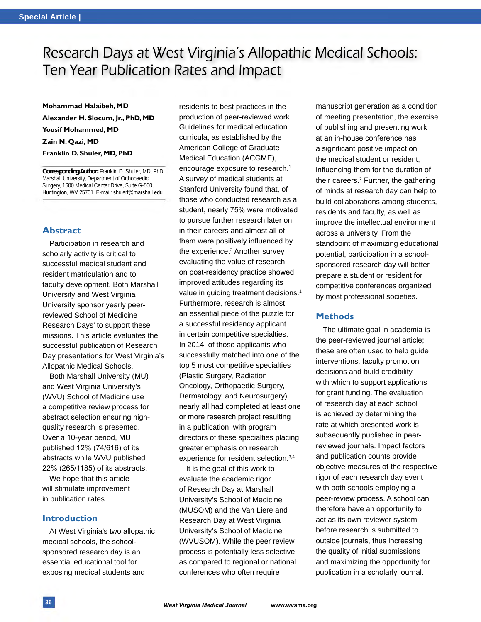### Research Days at West Virginia's Allopathic Medical Schools: Ten Year Publication Rates and Impact

**Mohammad Halaibeh, MD Alexander H. Slocum, Jr., PhD, MD Yousif Mohammed, MD Zain N. Qazi, MD Franklin D. Shuler, MD, PhD**

**Corresponding Author:** Franklin D. Shuler, MD, PhD, Marshall University, Department of Orthopaedic Surgery, 1600 Medical Center Drive, Suite G-500, Huntington, WV 25701. E-mail: shulerf@marshall.edu

#### **Abstract**

Participation in research and scholarly activity is critical to successful medical student and resident matriculation and to faculty development. Both Marshall University and West Virginia University sponsor yearly peerreviewed School of Medicine Research Days' to support these missions. This article evaluates the successful publication of Research Day presentations for West Virginia's Allopathic Medical Schools.

Both Marshall University (MU) and West Virginia University's (WVU) School of Medicine use a competitive review process for abstract selection ensuring highquality research is presented. Over a 10-year period, MU published 12% (74/616) of its abstracts while WVU published 22% (265/1185) of its abstracts.

We hope that this article will stimulate improvement in publication rates.

#### **Introduction**

At West Virginia's two allopathic medical schools, the schoolsponsored research day is an essential educational tool for exposing medical students and

residents to best practices in the production of peer-reviewed work. Guidelines for medical education curricula, as established by the American College of Graduate Medical Education (ACGME), encourage exposure to research.<sup>1</sup> A survey of medical students at Stanford University found that, of those who conducted research as a student, nearly 75% were motivated to pursue further research later on in their careers and almost all of them were positively influenced by the experience.<sup>2</sup> Another survey evaluating the value of research on post-residency practice showed improved attitudes regarding its value in quiding treatment decisions.<sup>1</sup> Furthermore, research is almost an essential piece of the puzzle for a successful residency applicant in certain competitive specialties. In 2014, of those applicants who successfully matched into one of the top 5 most competitive specialties (Plastic Surgery, Radiation Oncology, Orthopaedic Surgery, Dermatology, and Neurosurgery) nearly all had completed at least one or more research project resulting in a publication, with program directors of these specialties placing greater emphasis on research experience for resident selection.3,4

It is the goal of this work to evaluate the academic rigor of Research Day at Marshall University's School of Medicine (MUSOM) and the Van Liere and Research Day at West Virginia University's School of Medicine (WVUSOM). While the peer review process is potentially less selective as compared to regional or national conferences who often require

manuscript generation as a condition of meeting presentation, the exercise of publishing and presenting work at an in-house conference has a significant positive impact on the medical student or resident, influencing them for the duration of their careers.<sup>2</sup> Further, the gathering of minds at research day can help to build collaborations among students, residents and faculty, as well as improve the intellectual environment across a university. From the standpoint of maximizing educational potential, participation in a schoolsponsored research day will better prepare a student or resident for competitive conferences organized by most professional societies.

#### **Methods**

The ultimate goal in academia is the peer-reviewed journal article; these are often used to help guide interventions, faculty promotion decisions and build credibility with which to support applications for grant funding. The evaluation of research day at each school is achieved by determining the rate at which presented work is subsequently published in peerreviewed journals. Impact factors and publication counts provide objective measures of the respective rigor of each research day event with both schools employing a peer-review process. A school can therefore have an opportunity to act as its own reviewer system before research is submitted to outside journals, thus increasing the quality of initial submissions and maximizing the opportunity for publication in a scholarly journal.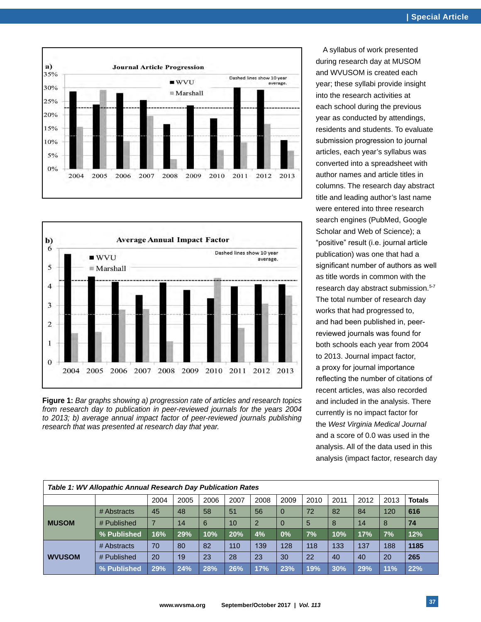



**Figure 1:** *Bar graphs showing a) progression rate of articles and research topics from research day to publication in peer-reviewed journals for the years 2004 to 2013; b) average annual impact factor of peer-reviewed journals publishing research that was presented at research day that year.*

A syllabus of work presented during research day at MUSOM and WVUSOM is created each year; these syllabi provide insight into the research activities at each school during the previous year as conducted by attendings, residents and students. To evaluate submission progression to journal articles, each year's syllabus was converted into a spreadsheet with author names and article titles in columns. The research day abstract title and leading author's last name were entered into three research search engines (PubMed, Google Scholar and Web of Science); a "positive" result (i.e. journal article publication) was one that had a significant number of authors as well as title words in common with the research day abstract submission.<sup>5-7</sup> The total number of research day works that had progressed to, and had been published in, peerreviewed journals was found for both schools each year from 2004 to 2013. Journal impact factor, a proxy for journal importance reflecting the number of citations of recent articles, was also recorded and included in the analysis. There currently is no impact factor for the *West Virginia Medical Journal* and a score of 0.0 was used in the analysis. All of the data used in this analysis (impact factor, research day

| Table 1: WV Allopathic Annual Research Day Publication Rates |             |                |      |      |      |                |      |      |      |      |      |               |
|--------------------------------------------------------------|-------------|----------------|------|------|------|----------------|------|------|------|------|------|---------------|
|                                                              |             | 2004           | 2005 | 2006 | 2007 | 2008           | 2009 | 2010 | 2011 | 2012 | 2013 | <b>Totals</b> |
| <b>MUSOM</b>                                                 | # Abstracts | 45             | 48   | 58   | 51   | 56             | 0    | 72   | 82   | 84   | 120  | 616           |
|                                                              | # Published | $\overline{7}$ | 14   | 6    | 10   | $\overline{2}$ | 0    | 5    | 8    | 14   | 8    | 74            |
|                                                              | % Published | 16%            | 29%  | 10%  | 20%  | 4%             | 0%   | 7%   | 10%  | 17%  | 7%   | 12%           |
| <b>WVUSOM</b>                                                | # Abstracts | 70             | 80   | 82   | 110  | 139            | 128  | 118  | 133  | 137  | 188  | 1185          |
|                                                              | # Published | 20             | 19   | 23   | 28   | 23             | 30   | 22   | 40   | 40   | 20   | 265           |
|                                                              | % Published | 29%            | 24%  | 28%  | 26%  | 17%            | 23%  | 19%  | 30%  | 29%  | 11%  | 22%           |